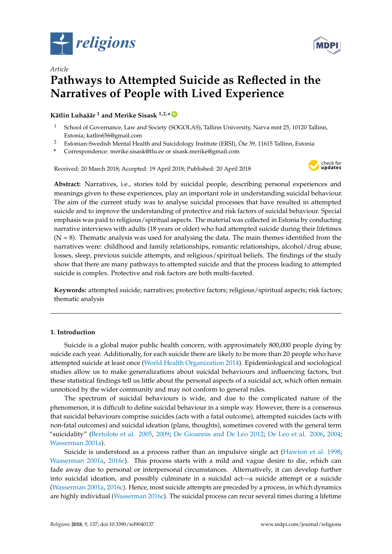

*Article*



# **Pathways to Attempted Suicide as Reflected in the Narratives of People with Lived Experience**

**Kätlin Luhaäär <sup>1</sup> and Merike Sisask 1,2,\* [ID](https://orcid.org/0000-0001-6821-6367)**

- <sup>1</sup> School of Governance, Law and Society (SOGOLAS), Tallinn University, Narva mnt 25, 10120 Tallinn, Estonia; katlin656@gmail.com
- <sup>2</sup> Estonian-Swedish Mental Health and Suicidology Institute (ERSI), Õie 39, 11615 Tallinn, Estonia

**\*** Correspondence: merike.sisask@tlu.ee or sisask.merike@gmail.com

Received: 20 March 2018; Accepted: 19 April 2018; Published: 20 April 2018



**Abstract:** Narratives, i.e., stories told by suicidal people, describing personal experiences and meanings given to these experiences, play an important role in understanding suicidal behaviour. The aim of the current study was to analyse suicidal processes that have resulted in attempted suicide and to improve the understanding of protective and risk factors of suicidal behaviour. Special emphasis was paid to religious/spiritual aspects. The material was collected in Estonia by conducting narrative interviews with adults (18 years or older) who had attempted suicide during their lifetimes  $(N = 8)$ . Thematic analysis was used for analysing the data. The main themes identified from the narratives were: childhood and family relationships, romantic relationships, alcohol/drug abuse, losses, sleep, previous suicide attempts, and religious/spiritual beliefs. The findings of the study show that there are many pathways to attempted suicide and that the process leading to attempted suicide is complex. Protective and risk factors are both multi-faceted.

**Keywords:** attempted suicide; narratives; protective factors; religious/spiritual aspects; risk factors; thematic analysis

# **1. Introduction**

Suicide is a global major public health concern, with approximately 800,000 people dying by suicide each year. Additionally, for each suicide there are likely to be more than 20 people who have attempted suicide at least once [\(World Health Organization](#page-15-0) [2014\)](#page-15-0). Epidemiological and sociological studies allow us to make generalizations about suicidal behaviours and influencing factors, but these statistical findings tell us little about the personal aspects of a suicidal act, which often remain unnoticed by the wider community and may not conform to general rules.

The spectrum of suicidal behaviours is wide, and due to the complicated nature of the phenomenon, it is difficult to define suicidal behaviour in a simple way. However, there is a consensus that suicidal behaviours comprise suicides (acts with a fatal outcome), attempted suicides (acts with non-fatal outcomes) and suicidal ideation (plans, thoughts), sometimes covered with the general term "suicidality" [\(Bertolote et al.](#page-12-0) [2005,](#page-12-0) [2009;](#page-12-1) [De Gioannis and De Leo](#page-13-0) [2012;](#page-13-0) [De Leo et al.](#page-13-1) [2006,](#page-13-1) [2004;](#page-13-2) [Wasserman](#page-15-1) [2001a\)](#page-15-1).

Suicide is understood as a process rather than an impulsive single act [\(Hawton et al.](#page-13-3) [1998;](#page-13-3) [Wasserman](#page-15-1) [2001a,](#page-15-1) [2016c\)](#page-15-2). This process starts with a mild and vague desire to die, which can fade away due to personal or interpersonal circumstances. Alternatively, it can develop further into suicidal ideation, and possibly culminate in a suicidal act—a suicide attempt or a suicide [\(Wasserman](#page-15-1) [2001a,](#page-15-1) [2016c\)](#page-15-2). Hence, most suicide attempts are preceded by a process, in which dynamics are highly individual [\(Wasserman](#page-15-2) [2016c\)](#page-15-2). The suicidal process can recur several times during a lifetime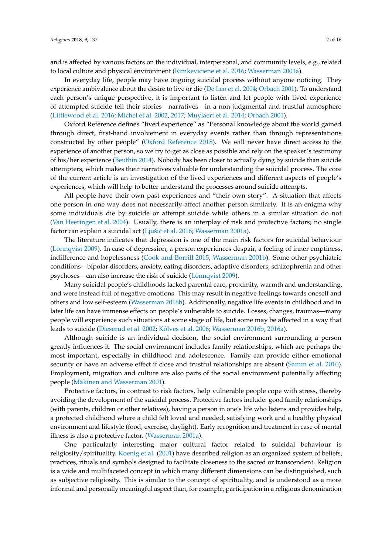and is affected by various factors on the individual, interpersonal, and community levels, e.g., related to local culture and physical environment [\(Rimkeviciene et al.](#page-14-0) [2016;](#page-14-0) [Wasserman](#page-15-1) [2001a\)](#page-15-1).

In everyday life, people may have ongoing suicidal process without anyone noticing. They experience ambivalence about the desire to live or die [\(De Leo et al.](#page-13-2) [2004;](#page-13-2) [Orbach](#page-14-1) [2001\)](#page-14-1). To understand each person's unique perspective, it is important to listen and let people with lived experience of attempted suicide tell their stories—narratives—in a non-judgmental and trustful atmosphere [\(Littlewood et al.](#page-14-2) [2016;](#page-14-2) [Michel et al.](#page-14-3) [2002,](#page-14-3) [2017;](#page-14-4) [Muylaert et al.](#page-14-5) [2014;](#page-14-5) [Orbach](#page-14-1) [2001\)](#page-14-1).

Oxford Reference defines "lived experience" as "Personal knowledge about the world gained through direct, first-hand involvement in everyday events rather than through representations constructed by other people" [\(Oxford Reference](#page-14-6) [2018\)](#page-14-6). We will never have direct access to the experience of another person, so we try to get as close as possible and rely on the speaker's testimony of his/her experience [\(Beuthin](#page-12-2) [2014\)](#page-12-2). Nobody has been closer to actually dying by suicide than suicide attempters, which makes their narratives valuable for understanding the suicidal process. The core of the current article is an investigation of the lived experiences and different aspects of people's experiences, which will help to better understand the processes around suicide attempts.

All people have their own past experiences and "their own story". A situation that affects one person in one way does not necessarily affect another person similarly. It is an enigma why some individuals die by suicide or attempt suicide while others in a similar situation do not [\(Van Heeringen et al.](#page-15-3) [2004\)](#page-15-3). Usually, there is an interplay of risk and protective factors; no single factor can explain a suicidal act (Ljušić et al. [2016;](#page-14-7) [Wasserman](#page-15-1) [2001a\)](#page-15-1).

The literature indicates that depression is one of the main risk factors for suicidal behaviour [\(Lönnqvist](#page-14-8) [2009\)](#page-14-8). In case of depression, a person experiences despair, a feeling of inner emptiness, indifference and hopelessness [\(Cook and Borrill](#page-13-4) [2015;](#page-13-4) [Wasserman](#page-15-4) [2001b\)](#page-15-4). Some other psychiatric conditions—bipolar disorders, anxiety, eating disorders, adaptive disorders, schizophrenia and other psychoses—can also increase the risk of suicide [\(Lönnqvist](#page-14-8) [2009\)](#page-14-8).

Many suicidal people's childhoods lacked parental care, proximity, warmth and understanding, and were instead full of negative emotions. This may result in negative feelings towards oneself and others and low self-esteem [\(Wasserman](#page-15-5) [2016b\)](#page-15-5). Additionally, negative life events in childhood and in later life can have immense effects on people's vulnerable to suicide. Losses, changes, traumas—many people will experience such situations at some stage of life, but some may be affected in a way that leads to suicide [\(Dieserud et al.](#page-13-5) [2002;](#page-13-5) Kõ[lves et al.](#page-13-6) [2006;](#page-13-6) [Wasserman](#page-15-5) [2016b,](#page-15-5) [2016a\)](#page-15-6).

Although suicide is an individual decision, the social environment surrounding a person greatly influences it. The social environment includes family relationships, which are perhaps the most important, especially in childhood and adolescence. Family can provide either emotional security or have an adverse effect if close and trustful relationships are absent [\(Samm et al.](#page-14-9) [2010\)](#page-14-9). Employment, migration and culture are also parts of the social environment potentially affecting people [\(Mäkinen and Wasserman](#page-14-10) [2001\)](#page-14-10).

Protective factors, in contrast to risk factors, help vulnerable people cope with stress, thereby avoiding the development of the suicidal process. Protective factors include: good family relationships (with parents, children or other relatives), having a person in one's life who listens and provides help, a protected childhood where a child felt loved and needed, satisfying work and a healthy physical environment and lifestyle (food, exercise, daylight). Early recognition and treatment in case of mental illness is also a protective factor. [\(Wasserman](#page-15-1) [2001a\)](#page-15-1).

One particularly interesting major cultural factor related to suicidal behaviour is religiosity/spirituality. [Koenig et al.](#page-13-7) [\(2001\)](#page-13-7) have described religion as an organized system of beliefs, practices, rituals and symbols designed to facilitate closeness to the sacred or transcendent. Religion is a wide and multifaceted concept in which many different dimensions can be distinguished, such as subjective religiosity. This is similar to the concept of spirituality, and is understood as a more informal and personally meaningful aspect than, for example, participation in a religious denomination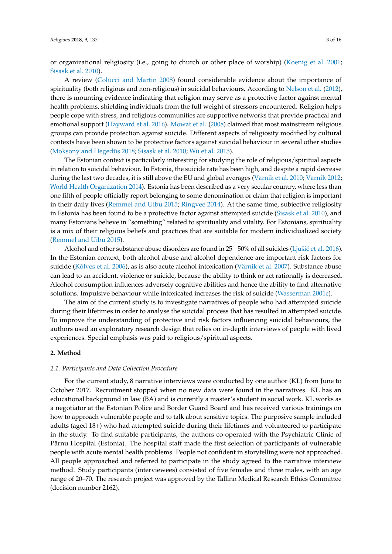or organizational religiosity (i.e., going to church or other place of worship) [\(Koenig et al.](#page-13-7) [2001;](#page-13-7) [Sisask et al.](#page-15-7) [2010\)](#page-15-7).

A review [\(Colucci and Martin](#page-13-8) [2008\)](#page-13-8) found considerable evidence about the importance of spirituality (both religious and non-religious) in suicidal behaviours. According to [Nelson et al.](#page-14-11) [\(2012\)](#page-14-11), there is mounting evidence indicating that religion may serve as a protective factor against mental health problems, shielding individuals from the full weight of stressors encountered. Religion helps people cope with stress, and religious communities are supportive networks that provide practical and emotional support [\(Hayward et al.](#page-13-9) [2016\)](#page-13-9). [Mowat et al.](#page-14-12) [\(2008\)](#page-14-12) claimed that most mainstream religious groups can provide protection against suicide. Different aspects of religiosity modified by cultural contexts have been shown to be protective factors against suicidal behaviour in several other studies (Moksony and Hegedűs [2018;](#page-14-13) [Sisask et al.](#page-15-7) [2010;](#page-15-7) [Wu et al.](#page-15-8) [2015\)](#page-15-8).

The Estonian context is particularly interesting for studying the role of religious/spiritual aspects in relation to suicidal behaviour. In Estonia, the suicide rate has been high, and despite a rapid decrease during the last two decades, it is still above the EU and global averages [\(Värnik et al.](#page-15-9) [2010;](#page-15-9) [Värnik](#page-15-10) [2012;](#page-15-10) [World Health Organization](#page-15-0) [2014\)](#page-15-0). Estonia has been described as a very secular country, where less than one fifth of people officially report belonging to some denomination or claim that religion is important in their daily lives [\(Remmel and Uibu](#page-14-14) [2015;](#page-14-14) [Ringvee](#page-14-15) [2014\)](#page-14-15). At the same time, subjective religiosity in Estonia has been found to be a protective factor against attempted suicide [\(Sisask et al.](#page-15-7) [2010\)](#page-15-7), and many Estonians believe in "something" related to spirituality and vitality. For Estonians, spirituality is a mix of their religious beliefs and practices that are suitable for modern individualized society [\(Remmel and Uibu](#page-14-14) [2015\)](#page-14-14).

Alcohol and other substance abuse disorders are found in 25−50% of all suicides (Ljušić et al. [2016\)](#page-14-7). In the Estonian context, both alcohol abuse and alcohol dependence are important risk factors for suicide (Kõ[lves et al.](#page-13-10) [2006\)](#page-13-10), as is also acute alcohol intoxication [\(Värnik et al.](#page-15-11) [2007\)](#page-15-11). Substance abuse can lead to an accident, violence or suicide, because the ability to think or act rationally is decreased. Alcohol consumption influences adversely cognitive abilities and hence the ability to find alternative solutions. Impulsive behaviour while intoxicated increases the risk of suicide [\(Wasserman](#page-15-12) [2001c\)](#page-15-12).

The aim of the current study is to investigate narratives of people who had attempted suicide during their lifetimes in order to analyse the suicidal process that has resulted in attempted suicide. To improve the understanding of protective and risk factors influencing suicidal behaviours, the authors used an exploratory research design that relies on in-depth interviews of people with lived experiences. Special emphasis was paid to religious/spiritual aspects.

## **2. Method**

#### *2.1. Participants and Data Collection Procedure*

For the current study, 8 narrative interviews were conducted by one author (KL) from June to October 2017. Recruitment stopped when no new data were found in the narratives. KL has an educational background in law (BA) and is currently a master's student in social work. KL works as a negotiator at the Estonian Police and Border Guard Board and has received various trainings on how to approach vulnerable people and to talk about sensitive topics. The purposive sample included adults (aged 18+) who had attempted suicide during their lifetimes and volunteered to participate in the study. To find suitable participants, the authors co-operated with the Psychiatric Clinic of Pärnu Hospital (Estonia). The hospital staff made the first selection of participants of vulnerable people with acute mental health problems. People not confident in storytelling were not approached. All people approached and referred to participate in the study agreed to the narrative interview method. Study participants (interviewees) consisted of five females and three males, with an age range of 20–70. The research project was approved by the Tallinn Medical Research Ethics Committee (decision number 2162).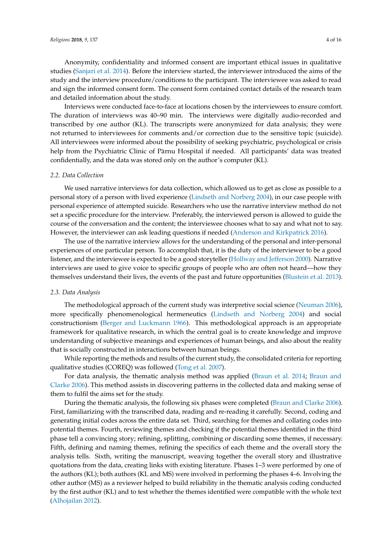Anonymity, confidentiality and informed consent are important ethical issues in qualitative studies [\(Sanjari et al.](#page-15-13) [2014\)](#page-15-13). Before the interview started, the interviewer introduced the aims of the study and the interview procedure/conditions to the participant. The interviewee was asked to read and sign the informed consent form. The consent form contained contact details of the research team and detailed information about the study.

Interviews were conducted face-to-face at locations chosen by the interviewees to ensure comfort. The duration of interviews was 40–90 min. The interviews were digitally audio-recorded and transcribed by one author (KL). The transcripts were anonymized for data analysis; they were not returned to interviewees for comments and/or correction due to the sensitive topic (suicide). All interviewees were informed about the possibility of seeking psychiatric, psychological or crisis help from the Psychiatric Clinic of Pärnu Hospital if needed. All participants' data was treated confidentially, and the data was stored only on the author's computer (KL).

#### *2.2. Data Collection*

We used narrative interviews for data collection, which allowed us to get as close as possible to a personal story of a person with lived experience [\(Lindseth and Norberg](#page-13-11) [2004\)](#page-13-11), in our case people with personal experience of attempted suicide. Researchers who use the narrative interview method do not set a specific procedure for the interview. Preferably, the interviewed person is allowed to guide the course of the conversation and the content; the interviewee chooses what to say and what not to say. However, the interviewer can ask leading questions if needed [\(Anderson and Kirkpatrick](#page-12-3) [2016\)](#page-12-3).

The use of the narrative interview allows for the understanding of the personal and inter-personal experiences of one particular person. To accomplish that, it is the duty of the interviewer to be a good listener, and the interviewee is expected to be a good storyteller [\(Hollway and Jefferson](#page-13-12) [2000\)](#page-13-12). Narrative interviews are used to give voice to specific groups of people who are often not heard—how they themselves understand their lives, the events of the past and future opportunities [\(Blustein et al.](#page-12-4) [2013\)](#page-12-4).

#### *2.3. Data Analysis*

The methodological approach of the current study was interpretive social science [\(Neuman](#page-14-16) [2006\)](#page-14-16), more specifically phenomenological hermeneutics [\(Lindseth and Norberg](#page-13-11) [2004\)](#page-13-11) and social constructionism [\(Berger and Luckmann](#page-12-5) [1966\)](#page-12-5). This methodological approach is an appropriate framework for qualitative research, in which the central goal is to create knowledge and improve understanding of subjective meanings and experiences of human beings, and also about the reality that is socially constructed in interactions between human beings.

While reporting the methods and results of the current study, the consolidated criteria for reporting qualitative studies (COREQ) was followed [\(Tong et al.](#page-15-14) [2007\)](#page-15-14).

For data analysis, the thematic analysis method was applied [\(Braun et al.](#page-12-6) [2014;](#page-12-6) [Braun and](#page-13-13) [Clarke](#page-13-13) [2006\)](#page-13-13). This method assists in discovering patterns in the collected data and making sense of them to fulfil the aims set for the study.

During the thematic analysis, the following six phases were completed [\(Braun and Clarke](#page-13-13) [2006\)](#page-13-13). First, familiarizing with the transcribed data, reading and re-reading it carefully. Second, coding and generating initial codes across the entire data set. Third, searching for themes and collating codes into potential themes. Fourth, reviewing themes and checking if the potential themes identified in the third phase tell a convincing story; refining, splitting, combining or discarding some themes, if necessary. Fifth, defining and naming themes, refining the specifics of each theme and the overall story the analysis tells. Sixth, writing the manuscript, weaving together the overall story and illustrative quotations from the data, creating links with existing literature. Phases 1–3 were performed by one of the authors (KL); both authors (KL and MS) were involved in performing the phases 4–6. Involving the other author (MS) as a reviewer helped to build reliability in the thematic analysis coding conducted by the first author (KL) and to test whether the themes identified were compatible with the whole text [\(Alhojailan](#page-12-7) [2012\)](#page-12-7).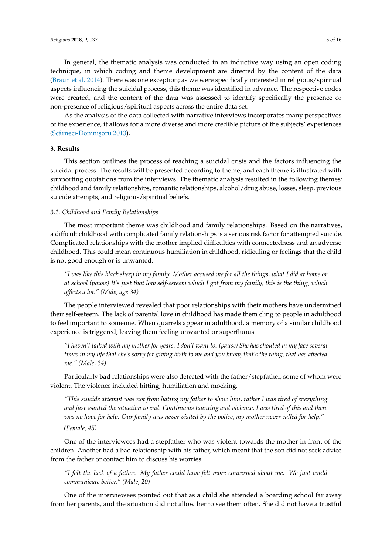In general, the thematic analysis was conducted in an inductive way using an open coding technique, in which coding and theme development are directed by the content of the data [\(Braun et al.](#page-12-6) [2014\)](#page-12-6). There was one exception; as we were specifically interested in religious/spiritual aspects influencing the suicidal process, this theme was identified in advance. The respective codes were created, and the content of the data was assessed to identify specifically the presence or non-presence of religious/spiritual aspects across the entire data set.

As the analysis of the data collected with narrative interviews incorporates many perspectives of the experience, it allows for a more diverse and more credible picture of the subjects' experiences (Scârneci-Domnişoru [2013\)](#page-15-15).

## **3. Results**

This section outlines the process of reaching a suicidal crisis and the factors influencing the suicidal process. The results will be presented according to theme, and each theme is illustrated with supporting quotations from the interviews. The thematic analysis resulted in the following themes: childhood and family relationships, romantic relationships, alcohol/drug abuse, losses, sleep, previous suicide attempts, and religious/spiritual beliefs.

# *3.1. Childhood and Family Relationships*

The most important theme was childhood and family relationships. Based on the narratives, a difficult childhood with complicated family relationships is a serious risk factor for attempted suicide. Complicated relationships with the mother implied difficulties with connectedness and an adverse childhood. This could mean continuous humiliation in childhood, ridiculing or feelings that the child is not good enough or is unwanted.

*"I was like this black sheep in my family. Mother accused me for all the things, what I did at home or at school (pause) It's just that low self-esteem which I got from my family, this is the thing, which affects a lot." (Male, age 34)*

The people interviewed revealed that poor relationships with their mothers have undermined their self-esteem. The lack of parental love in childhood has made them cling to people in adulthood to feel important to someone. When quarrels appear in adulthood, a memory of a similar childhood experience is triggered, leaving them feeling unwanted or superfluous.

*"I haven't talked with my mother for years. I don't want to. (pause) She has shouted in my face several times in my life that she's sorry for giving birth to me and you know, that's the thing, that has affected me." (Male, 34)*

Particularly bad relationships were also detected with the father/stepfather, some of whom were violent. The violence included hitting, humiliation and mocking.

*"This suicide attempt was not from hating my father to show him, rather I was tired of everything and just wanted the situation to end. Continuous taunting and violence, I was tired of this and there was no hope for help. Our family was never visited by the police, my mother never called for help."*

*(Female, 45)*

One of the interviewees had a stepfather who was violent towards the mother in front of the children. Another had a bad relationship with his father, which meant that the son did not seek advice from the father or contact him to discuss his worries.

*"I felt the lack of a father. My father could have felt more concerned about me. We just could communicate better." (Male, 20)*

One of the interviewees pointed out that as a child she attended a boarding school far away from her parents, and the situation did not allow her to see them often. She did not have a trustful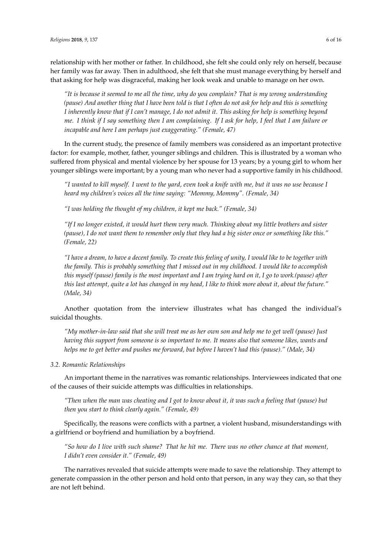relationship with her mother or father. In childhood, she felt she could only rely on herself, because her family was far away. Then in adulthood, she felt that she must manage everything by herself and that asking for help was disgraceful, making her look weak and unable to manage on her own.

*"It is because it seemed to me all the time, why do you complain? That is my wrong understanding (pause) And another thing that I have been told is that I often do not ask for help and this is something I inherently know that if I can't manage, I do not admit it. This asking for help is something beyond me. I think if I say something then I am complaining. If I ask for help, I feel that I am failure or incapable and here I am perhaps just exaggerating." (Female, 47)*

In the current study, the presence of family members was considered as an important protective factor: for example, mother, father, younger siblings and children. This is illustrated by a woman who suffered from physical and mental violence by her spouse for 13 years; by a young girl to whom her younger siblings were important; by a young man who never had a supportive family in his childhood.

*"I wanted to kill myself. I went to the yard, even took a knife with me, but it was no use because I heard my children's voices all the time saying: "Mommy, Mommy". (Female, 34)*

*"I was holding the thought of my children, it kept me back." (Female, 34)*

*"If I no longer existed, it would hurt them very much. Thinking about my little brothers and sister (pause), I do not want them to remember only that they had a big sister once or something like this." (Female, 22)*

*"I have a dream, to have a decent family. To create this feeling of unity, I would like to be together with the family. This is probably something that I missed out in my childhood. I would like to accomplish this myself (pause) family is the most important and I am trying hard on it, I go to work.(pause) after this last attempt, quite a lot has changed in my head, I like to think more about it, about the future." (Male, 34)*

Another quotation from the interview illustrates what has changed the individual's suicidal thoughts.

*"My mother-in-law said that she will treat me as her own son and help me to get well (pause) Just having this support from someone is so important to me. It means also that someone likes, wants and helps me to get better and pushes me forward, but before I haven't had this (pause)." (Male, 34)*

#### *3.2. Romantic Relationships*

An important theme in the narratives was romantic relationships. Interviewees indicated that one of the causes of their suicide attempts was difficulties in relationships.

*"Then when the man was cheating and I got to know about it, it was such a feeling that (pause) but then you start to think clearly again." (Female, 49)*

Specifically, the reasons were conflicts with a partner, a violent husband, misunderstandings with a girlfriend or boyfriend and humiliation by a boyfriend.

*"So how do I live with such shame? That he hit me. There was no other chance at that moment, I didn't even consider it." (Female, 49)*

The narratives revealed that suicide attempts were made to save the relationship. They attempt to generate compassion in the other person and hold onto that person, in any way they can, so that they are not left behind.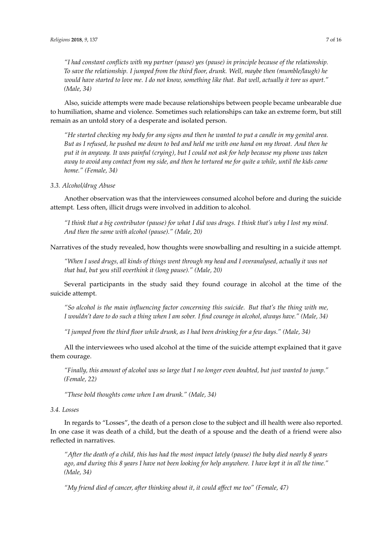*"I had constant conflicts with my partner (pause) yes (pause) in principle because of the relationship. To save the relationship. I jumped from the third floor, drunk. Well, maybe then (mumble/laugh) he would have started to love me. I do not know, something like that. But well, actually it tore us apart." (Male, 34)*

Also, suicide attempts were made because relationships between people became unbearable due to humiliation, shame and violence. Sometimes such relationships can take an extreme form, but still remain as an untold story of a desperate and isolated person.

*"He started checking my body for any signs and then he wanted to put a candle in my genital area. But as I refused, he pushed me down to bed and held me with one hand on my throat. And then he put it in anyway. It was painful (crying), but I could not ask for help because my phone was taken away to avoid any contact from my side, and then he tortured me for quite a while, until the kids came home." (Female, 34)*

# *3.3. Alcohol/drug Abuse*

Another observation was that the interviewees consumed alcohol before and during the suicide attempt. Less often, illicit drugs were involved in addition to alcohol.

*"I think that a big contributor (pause) for what I did was drugs. I think that's why I lost my mind. And then the same with alcohol (pause)." (Male, 20)*

Narratives of the study revealed, how thoughts were snowballing and resulting in a suicide attempt.

*"When I used drugs, all kinds of things went through my head and I overanalysed, actually it was not that bad, but you still overthink it (long pause)." (Male, 20)*

Several participants in the study said they found courage in alcohol at the time of the suicide attempt.

*"So alcohol is the main influencing factor concerning this suicide. But that's the thing with me, I wouldn't dare to do such a thing when I am sober. I find courage in alcohol, always have." (Male, 34)*

*"I jumped from the third floor while drunk, as I had been drinking for a few days." (Male, 34)*

All the interviewees who used alcohol at the time of the suicide attempt explained that it gave them courage.

*"Finally, this amount of alcohol was so large that I no longer even doubted, but just wanted to jump." (Female, 22)*

*"These bold thoughts come when I am drunk." (Male, 34)*

## *3.4. Losses*

In regards to "Losses", the death of a person close to the subject and ill health were also reported. In one case it was death of a child, but the death of a spouse and the death of a friend were also reflected in narratives.

*"After the death of a child, this has had the most impact lately (pause) the baby died nearly 8 years ago, and during this 8 years I have not been looking for help anywhere. I have kept it in all the time." (Male, 34)*

*"My friend died of cancer, after thinking about it, it could affect me too" (Female, 47)*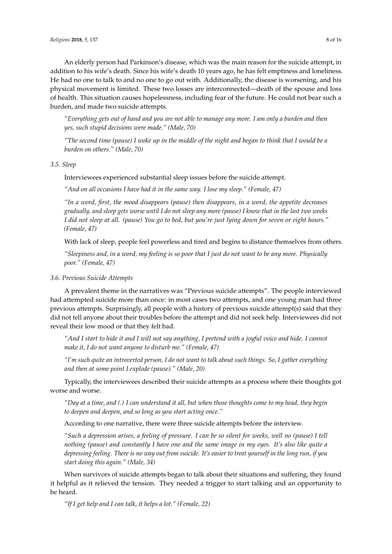An elderly person had Parkinson's disease, which was the main reason for the suicide attempt, in addition to his wife's death. Since his wife's death 10 years ago, he has felt emptiness and loneliness. He had no one to talk to and no one to go out with. Additionally, the disease is worsening, and his physical movement is limited. These two losses are interconnected—death of the spouse and loss of health. This situation causes hopelessness, including fear of the future. He could not bear such a burden, and made two suicide attempts.

*"Everything gets out of hand and you are not able to manage any more. I am only a burden and then yes, such stupid decisions were made." (Male, 70)*

*"The second time (pause) I woke up in the middle of the night and began to think that I would be a burden on others." (Male, 70)*

*3.5. Sleep*

Interviewees experienced substantial sleep issues before the suicide attempt.

*"And on all occasions I have had it in the same way. I lose my sleep." (Female, 47)*

*"In a word, first, the mood disappears (pause) then disappears, in a word, the appetite decreases gradually, and sleep gets worse until I do not sleep any more (pause) I know that in the last two weeks I did not sleep at all. (pause) You go to bed, but you're just lying down for seven or eight hours." (Female, 47)*

With lack of sleep, people feel powerless and tired and begins to distance themselves from others.

*"Sleepiness and, in a word, my feeling is so poor that I just do not want to be any more. Physically poor." (Female, 47)*

## *3.6. Previous Suicide Attempts*

A prevalent theme in the narratives was "Previous suicide attempts". The people interviewed had attempted suicide more than once: in most cases two attempts, and one young man had three previous attempts. Surprisingly, all people with a history of previous suicide attempt(s) said that they did not tell anyone about their troubles before the attempt and did not seek help. Interviewees did not reveal their low mood or that they felt bad.

*"And I start to hide it and I will not say anything, I pretend with a joyful voice and hide. I cannot make it, I do not want anyone to disturb me." (Female, 47)*

*"I'm such quite an introverted person, I do not want to talk about such things. So, I gather everything and then at some point I explode (pause)." (Male, 20)*

Typically, the interviewees described their suicide attempts as a process where their thoughts got worse and worse.

*"Day at a time, and (.) I can understand it all, but when those thoughts come to my head, they begin to deepen and deepen, and so long as you start acting once."*

According to one narrative, there were three suicide attempts before the interview.

*"Such a depression arises, a feeling of pressure. I can be so silent for weeks, well no (pause) I tell nothing (pause) and constantly I have one and the same image in my eyes. It's also like quite a depressing feeling. There is no way out from suicide. It's easier to treat yourself in the long run, if you start doing this again." (Male, 34)*

When survivors of suicide attempts began to talk about their situations and suffering, they found it helpful as it relieved the tension. They needed a trigger to start talking and an opportunity to be heard.

*"If I get help and I can talk, it helps a lot." (Female, 22)*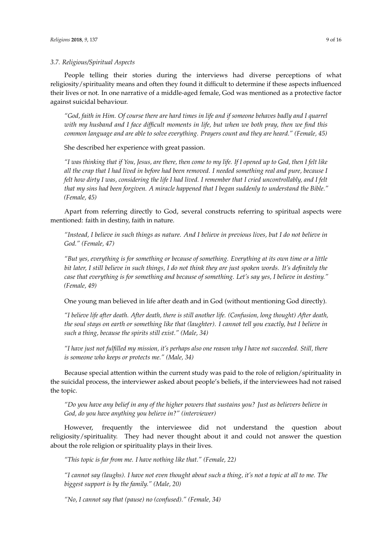## *3.7. Religious/Spiritual Aspects*

People telling their stories during the interviews had diverse perceptions of what religiosity/spirituality means and often they found it difficult to determine if these aspects influenced their lives or not. In one narrative of a middle-aged female, God was mentioned as a protective factor against suicidal behaviour.

*"God, faith in Him. Of course there are hard times in life and if someone behaves badly and I quarrel with my husband and I face difficult moments in life, but when we both pray, then we find this common language and are able to solve everything. Prayers count and they are heard." (Female, 45)*

She described her experience with great passion.

*"I was thinking that if You, Jesus, are there, then come to my life. If I opened up to God, then I felt like all the crap that I had lived in before had been removed. I needed something real and pure, because I felt how dirty I was, considering the life I had lived. I remember that I cried uncontrollably, and I felt that my sins had been forgiven. A miracle happened that I began suddenly to understand the Bible." (Female, 45)*

Apart from referring directly to God, several constructs referring to spiritual aspects were mentioned: faith in destiny, faith in nature.

*"Instead, I believe in such things as nature. And I believe in previous lives, but I do not believe in God." (Female, 47)*

*"But yes, everything is for something or because of something. Everything at its own time or a little bit later, I still believe in such things, I do not think they are just spoken words. It's definitely the case that everything is for something and because of something. Let's say yes, I believe in destiny." (Female, 49)*

One young man believed in life after death and in God (without mentioning God directly).

*"I believe life after death. After death, there is still another life. (Confusion, long thought) After death, the soul stays on earth or something like that (laughter). I cannot tell you exactly, but I believe in such a thing, because the spirits still exist." (Male, 34)*

*"I have just not fulfilled my mission, it's perhaps also one reason why I have not succeeded. Still, there is someone who keeps or protects me." (Male, 34)*

Because special attention within the current study was paid to the role of religion/spirituality in the suicidal process, the interviewer asked about people's beliefs, if the interviewees had not raised the topic.

*"Do you have any belief in any of the higher powers that sustains you? Just as believers believe in God, do you have anything you believe in?" (interviewer)*

However, frequently the interviewee did not understand the question about religiosity/spirituality. They had never thought about it and could not answer the question about the role religion or spirituality plays in their lives.

*"This topic is far from me. I have nothing like that." (Female, 22)*

*"I cannot say (laughs). I have not even thought about such a thing, it's not a topic at all to me. The biggest support is by the family." (Male, 20)*

*"No, I cannot say that (pause) no (confused)." (Female, 34)*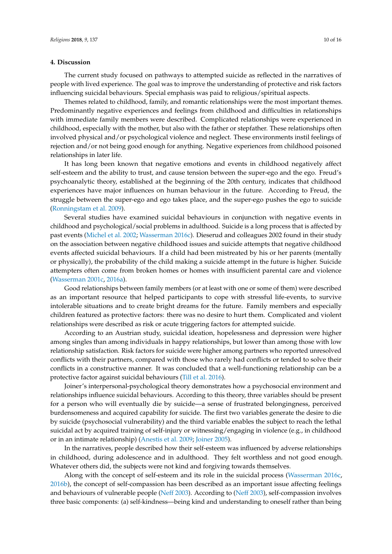## **4. Discussion**

The current study focused on pathways to attempted suicide as reflected in the narratives of people with lived experience. The goal was to improve the understanding of protective and risk factors influencing suicidal behaviours. Special emphasis was paid to religious/spiritual aspects.

Themes related to childhood, family, and romantic relationships were the most important themes. Predominantly negative experiences and feelings from childhood and difficulties in relationships with immediate family members were described. Complicated relationships were experienced in childhood, especially with the mother, but also with the father or stepfather. These relationships often involved physical and/or psychological violence and neglect. These environments instil feelings of rejection and/or not being good enough for anything. Negative experiences from childhood poisoned relationships in later life.

It has long been known that negative emotions and events in childhood negatively affect self-esteem and the ability to trust, and cause tension between the super-ego and the ego. Freud's psychoanalytic theory, established at the beginning of the 20th century, indicates that childhood experiences have major influences on human behaviour in the future. According to Freud, the struggle between the super-ego and ego takes place, and the super-ego pushes the ego to suicide [\(Ronningstam et al.](#page-14-17) [2009\)](#page-14-17).

Several studies have examined suicidal behaviours in conjunction with negative events in childhood and psychological/social problems in adulthood. Suicide is a long process that is affected by past events [\(Michel et al.](#page-14-3) [2002;](#page-14-3) [Wasserman](#page-15-2) [2016c\)](#page-15-2). Dieserud and colleagues 2002 found in their study on the association between negative childhood issues and suicide attempts that negative childhood events affected suicidal behaviours. If a child had been mistreated by his or her parents (mentally or physically), the probability of the child making a suicide attempt in the future is higher. Suicide attempters often come from broken homes or homes with insufficient parental care and violence [\(Wasserman](#page-15-12) [2001c,](#page-15-12) [2016a\)](#page-15-6).

Good relationships between family members (or at least with one or some of them) were described as an important resource that helped participants to cope with stressful life-events, to survive intolerable situations and to create bright dreams for the future. Family members and especially children featured as protective factors: there was no desire to hurt them. Complicated and violent relationships were described as risk or acute triggering factors for attempted suicide.

According to an Austrian study, suicidal ideation, hopelessness and depression were higher among singles than among individuals in happy relationships, but lower than among those with low relationship satisfaction. Risk factors for suicide were higher among partners who reported unresolved conflicts with their partners, compared with those who rarely had conflicts or tended to solve their conflicts in a constructive manner. It was concluded that a well-functioning relationship can be a protective factor against suicidal behaviours [\(Till et al.](#page-15-16) [2016\)](#page-15-16).

Joiner's interpersonal-psychological theory demonstrates how a psychosocial environment and relationships influence suicidal behaviours. According to this theory, three variables should be present for a person who will eventually die by suicide—a sense of frustrated belongingness, perceived burdensomeness and acquired capability for suicide. The first two variables generate the desire to die by suicide (psychosocial vulnerability) and the third variable enables the subject to reach the lethal suicidal act by acquired training of self-injury or witnessing/engaging in violence (e.g., in childhood or in an intimate relationship) [\(Anestis et al.](#page-12-8) [2009;](#page-12-8) [Joiner](#page-13-14) [2005\)](#page-13-14).

In the narratives, people described how their self-esteem was influenced by adverse relationships in childhood, during adolescence and in adulthood. They felt worthless and not good enough. Whatever others did, the subjects were not kind and forgiving towards themselves.

Along with the concept of self-esteem and its role in the suicidal process [\(Wasserman](#page-15-2) [2016c,](#page-15-2) [2016b\)](#page-15-5), the concept of self-compassion has been described as an important issue affecting feelings and behaviours of vulnerable people [\(Neff](#page-14-18) [2003\)](#page-14-18). According to [\(Neff](#page-14-18) [2003\)](#page-14-18), self-compassion involves three basic components: (a) self-kindness—being kind and understanding to oneself rather than being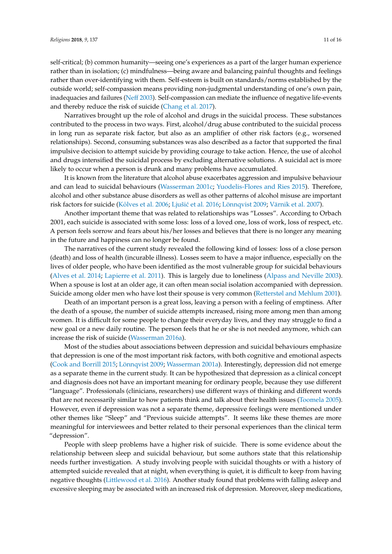self-critical; (b) common humanity—seeing one's experiences as a part of the larger human experience rather than in isolation; (c) mindfulness—being aware and balancing painful thoughts and feelings rather than over-identifying with them. Self-esteem is built on standards/norms established by the outside world; self-compassion means providing non-judgmental understanding of one's own pain, inadequacies and failures [\(Neff](#page-14-18) [2003\)](#page-14-18). Self-compassion can mediate the influence of negative life-events and thereby reduce the risk of suicide [\(Chang et al.](#page-13-15) [2017\)](#page-13-15).

Narratives brought up the role of alcohol and drugs in the suicidal process. These substances contributed to the process in two ways. First, alcohol/drug abuse contributed to the suicidal process in long run as separate risk factor, but also as an amplifier of other risk factors (e.g., worsened relationships). Second, consuming substances was also described as a factor that supported the final impulsive decision to attempt suicide by providing courage to take action. Hence, the use of alcohol and drugs intensified the suicidal process by excluding alternative solutions. A suicidal act is more likely to occur when a person is drunk and many problems have accumulated.

It is known from the literature that alcohol abuse exacerbates aggression and impulsive behaviour and can lead to suicidal behaviours [\(Wasserman](#page-15-12) [2001c;](#page-15-12) [Yuodelis-Flores and Ries](#page-15-17) [2015\)](#page-15-17). Therefore, alcohol and other substance abuse disorders as well as other patterns of alcohol misuse are important risk factors for suicide (Kõ[lves et al.](#page-13-10) [2006;](#page-13-10) Ljušić et al. [2016;](#page-14-7) [Lönnqvist](#page-14-8) [2009;](#page-14-8) [Värnik et al.](#page-15-11) [2007\)](#page-15-11).

Another important theme that was related to relationships was "Losses". According to Orbach 2001, each suicide is associated with some loss: loss of a loved one, loss of work, loss of respect, etc. A person feels sorrow and fears about his/her losses and believes that there is no longer any meaning in the future and happiness can no longer be found.

The narratives of the current study revealed the following kind of losses: loss of a close person (death) and loss of health (incurable illness). Losses seem to have a major influence, especially on the lives of older people, who have been identified as the most vulnerable group for suicidal behaviours [\(Alves et al.](#page-12-9) [2014;](#page-12-9) [Lapierre et al.](#page-13-16) [2011\)](#page-13-16). This is largely due to loneliness [\(Alpass and Neville](#page-12-10) [2003\)](#page-12-10). When a spouse is lost at an older age, it can often mean social isolation accompanied with depression. Suicide among older men who have lost their spouse is very common [\(Retterstøl and Mehlum](#page-14-19) [2001\)](#page-14-19).

Death of an important person is a great loss, leaving a person with a feeling of emptiness. After the death of a spouse, the number of suicide attempts increased, rising more among men than among women. It is difficult for some people to change their everyday lives, and they may struggle to find a new goal or a new daily routine. The person feels that he or she is not needed anymore, which can increase the risk of suicide [\(Wasserman](#page-15-6) [2016a\)](#page-15-6).

Most of the studies about associations between depression and suicidal behaviours emphasize that depression is one of the most important risk factors, with both cognitive and emotional aspects [\(Cook and Borrill](#page-13-4) [2015;](#page-13-4) [Lönnqvist](#page-14-8) [2009;](#page-14-8) [Wasserman](#page-15-1) [2001a\)](#page-15-1). Interestingly, depression did not emerge as a separate theme in the current study. It can be hypothesized that depression as a clinical concept and diagnosis does not have an important meaning for ordinary people, because they use different "language". Professionals (clinicians, researchers) use different ways of thinking and different words that are not necessarily similar to how patients think and talk about their health issues [\(Toomela](#page-15-18) [2005\)](#page-15-18). However, even if depression was not a separate theme, depressive feelings were mentioned under other themes like "Sleep" and "Previous suicide attempts". It seems like these themes are more meaningful for interviewees and better related to their personal experiences than the clinical term "depression".

People with sleep problems have a higher risk of suicide. There is some evidence about the relationship between sleep and suicidal behaviour, but some authors state that this relationship needs further investigation. A study involving people with suicidal thoughts or with a history of attempted suicide revealed that at night, when everything is quiet, it is difficult to keep from having negative thoughts [\(Littlewood et al.](#page-14-2) [2016\)](#page-14-2). Another study found that problems with falling asleep and excessive sleeping may be associated with an increased risk of depression. Moreover, sleep medications,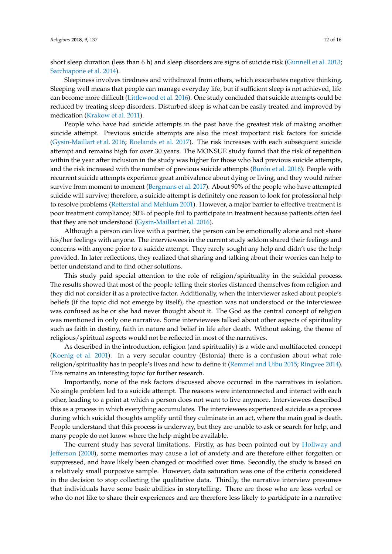short sleep duration (less than 6 h) and sleep disorders are signs of suicide risk [\(Gunnell et al.](#page-13-17) [2013;](#page-13-17) [Sarchiapone et al.](#page-15-19) [2014\)](#page-15-19).

Sleepiness involves tiredness and withdrawal from others, which exacerbates negative thinking. Sleeping well means that people can manage everyday life, but if sufficient sleep is not achieved, life can become more difficult [\(Littlewood et al.](#page-14-2) [2016\)](#page-14-2). One study concluded that suicide attempts could be reduced by treating sleep disorders. Disturbed sleep is what can be easily treated and improved by medication [\(Krakow et al.](#page-13-18) [2011\)](#page-13-18).

People who have had suicide attempts in the past have the greatest risk of making another suicide attempt. Previous suicide attempts are also the most important risk factors for suicide [\(Gysin-Maillart et al.](#page-13-19) [2016;](#page-13-19) [Roelands et al.](#page-14-20) [2017\)](#page-14-20). The risk increases with each subsequent suicide attempt and remains high for over 30 years. The MONSUE study found that the risk of repetition within the year after inclusion in the study was higher for those who had previous suicide attempts, and the risk increased with the number of previous suicide attempts (Buró[n et al.](#page-13-20) [2016\)](#page-13-20). People with recurrent suicide attempts experience great ambivalence about dying or living, and they would rather survive from moment to moment [\(Bergmans et al.](#page-12-11) [2017\)](#page-12-11). About 90% of the people who have attempted suicide will survive; therefore, a suicide attempt is definitely one reason to look for professional help to resolve problems [\(Retterstøl and Mehlum](#page-14-19) [2001\)](#page-14-19). However, a major barrier to effective treatment is poor treatment compliance; 50% of people fail to participate in treatment because patients often feel that they are not understood [\(Gysin-Maillart et al.](#page-13-19) [2016\)](#page-13-19).

Although a person can live with a partner, the person can be emotionally alone and not share his/her feelings with anyone. The interviewees in the current study seldom shared their feelings and concerns with anyone prior to a suicide attempt. They rarely sought any help and didn't use the help provided. In later reflections, they realized that sharing and talking about their worries can help to better understand and to find other solutions.

This study paid special attention to the role of religion/spirituality in the suicidal process. The results showed that most of the people telling their stories distanced themselves from religion and they did not consider it as a protective factor. Additionally, when the interviewer asked about people's beliefs (if the topic did not emerge by itself), the question was not understood or the interviewee was confused as he or she had never thought about it. The God as the central concept of religion was mentioned in only one narrative. Some interviewees talked about other aspects of spirituality such as faith in destiny, faith in nature and belief in life after death. Without asking, the theme of religious/spiritual aspects would not be reflected in most of the narratives.

As described in the introduction, religion (and spirituality) is a wide and multifaceted concept [\(Koenig et al.](#page-13-7) [2001\)](#page-13-7). In a very secular country (Estonia) there is a confusion about what role religion/spirituality has in people's lives and how to define it [\(Remmel and Uibu](#page-14-14) [2015;](#page-14-14) [Ringvee](#page-14-15) [2014\)](#page-14-15). This remains an interesting topic for further research.

Importantly, none of the risk factors discussed above occurred in the narratives in isolation. No single problem led to a suicide attempt. The reasons were interconnected and interact with each other, leading to a point at which a person does not want to live anymore. Interviewees described this as a process in which everything accumulates. The interviewees experienced suicide as a process during which suicidal thoughts amplify until they culminate in an act, where the main goal is death. People understand that this process is underway, but they are unable to ask or search for help, and many people do not know where the help might be available.

The current study has several limitations. Firstly, as has been pointed out by [Hollway and](#page-13-12) [Jefferson](#page-13-12) [\(2000\)](#page-13-12), some memories may cause a lot of anxiety and are therefore either forgotten or suppressed, and have likely been changed or modified over time. Secondly, the study is based on a relatively small purposive sample. However, data saturation was one of the criteria considered in the decision to stop collecting the qualitative data. Thirdly, the narrative interview presumes that individuals have some basic abilities in storytelling. There are those who are less verbal or who do not like to share their experiences and are therefore less likely to participate in a narrative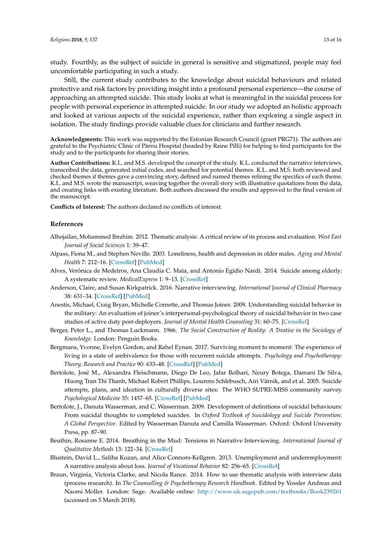study. Fourthly, as the subject of suicide in general is sensitive and stigmatized, people may feel uncomfortable participating in such a study.

Still, the current study contributes to the knowledge about suicidal behaviours and related protective and risk factors by providing insight into a profound personal experience—the course of approaching an attempted suicide. This study looks at what is meaningful in the suicidal process for people with personal experience in attempted suicide. In our study we adopted an holistic approach and looked at various aspects of the suicidal experience, rather than exploring a single aspect in isolation. The study findings provide valuable clues for clinicians and further research.

**Acknowledgments:** This work was supported by the Estonian Research Council (grant PRG71). The authors are grateful to the Psychiatric Clinic of Pärnu Hospital (headed by Raine Pilli) for helping to find participants for the study and to the participants for sharing their stories.

**Author Contributions:** K.L. and M.S. developed the concept of the study. K.L. conducted the narrative interviews, transcribed the data, generated initial codes, and searched for potential themes. K.L. and M.S. both reviewed and checked themes if themes gave a convincing story, defined and named themes refining the specifics of each theme. K.L. and M.S. wrote the manuscript, weaving together the overall story with illustrative quotations from the data, and creating links with existing literature. Both authors discussed the results and approved to the final version of the manuscript.

**Conflicts of Interest:** The authors declared no conflicts of interest.

#### **References**

- <span id="page-12-7"></span>Alhojailan, Mohammed Ibrahim. 2012. Thematic analysis: A critical review of its process and evaluation. *West East Journal of Social Sciences* 1: 39–47.
- <span id="page-12-10"></span>Alpass, Fiona M., and Stephen Neville. 2003. Loneliness, health and depression in older males. *Aging and Mental Health* 7: 212–16. [\[CrossRef\]](http://dx.doi.org/10.1080/1360786031000101193) [\[PubMed\]](http://www.ncbi.nlm.nih.gov/pubmed/12775403)
- <span id="page-12-9"></span>Alves, Verônica de Medeiros, Ana Claudia C. Maia, and Antonio Egidio Nardi. 2014. Suicide among elderly: A systematic review. *MedicalExpress* 1: 9–13. [\[CrossRef\]](http://dx.doi.org/10.5935/MedicalExpress.2014.01.03)
- <span id="page-12-3"></span>Anderson, Claire, and Susan Kirkpatrick. 2016. Narrative interviewing. *International Journal of Clinical Pharmacy* 38: 631–34. [\[CrossRef\]](http://dx.doi.org/10.1007/s11096-015-0222-0) [\[PubMed\]](http://www.ncbi.nlm.nih.gov/pubmed/26613739)
- <span id="page-12-8"></span>Anestis, Michael, Craig Bryan, Michelle Cornette, and Thomas Joiner. 2009. Understanding suicidal behavior in the military: An evaluation of joiner's interpersonal-psychological theory of suicidal behavior in two case studies of active duty post-deployers. *Journal of Mental Health Counseling* 31: 60–75. [\[CrossRef\]](http://dx.doi.org/10.17744/mehc.31.1.u394h1470248844n)
- <span id="page-12-5"></span>Berger, Peter L., and Thomas Luckmann. 1966. *The Social Construction of Reality: A Treatise in the Sociology of Knowledge*. London: Penguin Books.
- <span id="page-12-11"></span>Bergmans, Yvonne, Evelyn Gordon, and Rahel Eynan. 2017. Surviving moment to moment: The experience of living in a state of ambivalence for those with recurrent suicide attempts. *Psychology and Psychotherapy: Theory, Research and Practice* 90: 633–48. [\[CrossRef\]](http://dx.doi.org/10.1111/papt.12130) [\[PubMed\]](http://www.ncbi.nlm.nih.gov/pubmed/28497887)
- <span id="page-12-0"></span>Bertolote, José M., Alexandra Fleischmann, Diego De Leo, Jafar Bolhari, Neury Botega, Damani De Silva, Huong Tran Thi Thanh, Michael Robert Phillips, Lourens Schlebusch, Airi Värnik, and et al. 2005. Suicide attempts, plans, and ideation in culturally diverse sites: The WHO SUPRE-MISS community survey. *Psychological Medicine* 35: 1457–65. [\[CrossRef\]](http://dx.doi.org/10.1017/S0033291705005404) [\[PubMed\]](http://www.ncbi.nlm.nih.gov/pubmed/16164769)
- <span id="page-12-1"></span>Bertolote, J., Danuta Wasserman, and C. Wasserman. 2009. Development of definitions of suicidal behaviours: From suicidal thoughts to completed suicides. In *Oxford Textbook of Suicidology and Suicide Prevention: A Global Perspective*. Edited by Wasserman Danuta and Camilla Wasserman. Oxford: Oxford University Press, pp. 87–90.
- <span id="page-12-2"></span>Beuthin, Rosanne E. 2014. Breathing in the Mud: Tensions in Narrative Interviewing. *International Journal of Qualitative Methods* 13: 122–34. [\[CrossRef\]](http://dx.doi.org/10.1177/160940691401300103)
- <span id="page-12-4"></span>Blustein, David L., Saliha Kozan, and Alice Connors-Kellgren. 2013. Unemployment and underemployment: A narrative analysis about loss. *Journal of Vocational Behavior* 82: 256–65. [\[CrossRef\]](http://dx.doi.org/10.1016/j.jvb.2013.02.005)
- <span id="page-12-6"></span>Braun, Virginia, Victoria Clarke, and Nicola Rance. 2014. How to use thematic analysis with interview data (process research). In *The Counselling & Psychotherapy Research Handbook*. Edited by Vossler Andreas and Naomi Moller. London: Sage. Available online: <http://www.uk.sagepub.com/textbooks/Book239261> (accessed on 5 March 2018).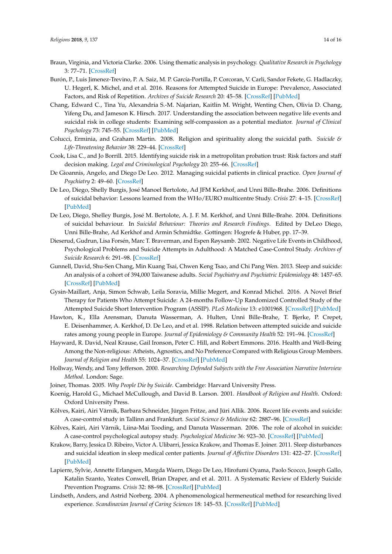- <span id="page-13-13"></span>Braun, Virginia, and Victoria Clarke. 2006. Using thematic analysis in psychology. *Qualitative Research in Psychology* 3: 77–71. [\[CrossRef\]](http://dx.doi.org/10.1191/1478088706qp063oa)
- <span id="page-13-20"></span>Burón, P., Luis Jimenez-Trevino, P. A. Saiz, M. P. García-Portilla, P. Corcoran, V. Carli, Sandor Fekete, G. Hadlaczky, U. Hegerl, K. Michel, and et al. 2016. Reasons for Attempted Suicide in Europe: Prevalence, Associated Factors, and Risk of Repetition. *Archives of Suicide Research* 20: 45–58. [\[CrossRef\]](http://dx.doi.org/10.1080/13811118.2015.1004481) [\[PubMed\]](http://www.ncbi.nlm.nih.gov/pubmed/26726966)
- <span id="page-13-15"></span>Chang, Edward C., Tina Yu, Alexandria S.-M. Najarian, Kaitlin M. Wright, Wenting Chen, Olivia D. Chang, Yifeng Du, and Jameson K. Hirsch. 2017. Understanding the association between negative life events and suicidal risk in college students: Examining self-compassion as a potential mediator. *Journal of Clinical Psychology* 73: 745–55. [\[CrossRef\]](http://dx.doi.org/10.1002/jclp.22374) [\[PubMed\]](http://www.ncbi.nlm.nih.gov/pubmed/27716911)
- <span id="page-13-8"></span>Colucci, Erminia, and Graham Martin. 2008. Religion and spirituality along the suicidal path. *Suicide & Life-Threatening Behavior* 38: 229–44. [\[CrossRef\]](http://dx.doi.org/10.1521/suli.2008.38.2.229)
- <span id="page-13-4"></span>Cook, Lisa C., and Jo Borrill. 2015. Identifying suicide risk in a metropolitan probation trust: Risk factors and staff decision making. *Legal and Criminological Psychology* 20: 255–66. [\[CrossRef\]](http://dx.doi.org/10.1111/lcrp.12034)
- <span id="page-13-0"></span>De Gioannis, Angelo, and Diego De Leo. 2012. Managing suicidal patients in clinical practice. *Open Journal of Psychiatry* 2: 49–60. [\[CrossRef\]](http://dx.doi.org/10.4236/ojpsych.2012.21008)
- <span id="page-13-1"></span>De Leo, Diego, Shelly Burgis, José Manoel Bertolote, Ad JFM Kerkhof, and Unni Bille-Brahe. 2006. Definitions of suicidal behavior: Lessons learned from the WHo/EURO multicentre Study. *Crisis* 27: 4–15. [\[CrossRef\]](http://dx.doi.org/10.1027/0227-5910.27.1.4) [\[PubMed\]](http://www.ncbi.nlm.nih.gov/pubmed/16642910)
- <span id="page-13-2"></span>De Leo, Diego, Shelley Burgis, José M. Bertolote, A. J. F. M. Kerkhof, and Unni Bille-Brahe. 2004. Definitions of suicidal behaviour. In *Suicidal Behaviour: Theories and Research Findings*. Edited by DeLeo Diego, Unni Bille-Brahe, Ad Kerkhof and Armin Schmidtke. Gottingen: Hogrefe & Huber, pp. 17–39.
- <span id="page-13-5"></span>Dieserud, Gudrun, Lisa Forsén, Marc T. Braverman, and Espen Røysamb. 2002. Negative Life Events in Childhood, Psychological Problems and Suicide Attempts in Adulthood: A Matched Case-Control Study. *Archives of Suicide Research* 6: 291–98. [\[CrossRef\]](http://dx.doi.org/10.1080/13811110214525)
- <span id="page-13-17"></span>Gunnell, David, Shu-Sen Chang, Min Kuang Tsai, Chwen Keng Tsao, and Chi Pang Wen. 2013. Sleep and suicide: An analysis of a cohort of 394,000 Taiwanese adults. *Social Psychiatry and Psychiatric Epidemiology* 48: 1457–65. [\[CrossRef\]](http://dx.doi.org/10.1007/s00127-013-0675-1) [\[PubMed\]](http://www.ncbi.nlm.nih.gov/pubmed/23546638)
- <span id="page-13-19"></span>Gysin-Maillart, Anja, Simon Schwab, Leila Soravia, Millie Megert, and Konrad Michel. 2016. A Novel Brief Therapy for Patients Who Attempt Suicide: A 24-months Follow-Up Randomized Controlled Study of the Attempted Suicide Short Intervention Program (ASSIP). *PLoS Medicine* 13: e1001968. [\[CrossRef\]](http://dx.doi.org/10.1371/journal.pmed.1001968) [\[PubMed\]](http://www.ncbi.nlm.nih.gov/pubmed/26930055)
- <span id="page-13-3"></span>Hawton, K., Ella Arensman, Danuta Wasserman, A. Hulten, Unni Bille-Brahe, T. Bjerke, P. Crepet, E. Deisenhammer, A. Kerkhof, D. De Leo, and et al. 1998. Relation between attempted suicide and suicide rates among young people in Europe. *Journal of Epidemiology & Community Health* 52: 191–94. [\[CrossRef\]](http://dx.doi.org/10.1136/jech.52.3.191)
- <span id="page-13-9"></span>Hayward, R. David, Neal Krause, Gail Ironson, Peter C. Hill, and Robert Emmons. 2016. Health and Well-Being Among the Non-religious: Atheists, Agnostics, and No Preference Compared with Religious Group Members. *Journal of Religion and Health* 55: 1024–37. [\[CrossRef\]](http://dx.doi.org/10.1007/s10943-015-0179-2) [\[PubMed\]](http://www.ncbi.nlm.nih.gov/pubmed/26743877)
- <span id="page-13-12"></span>Hollway, Wendy, and Tony Jefferson. 2000. *Researching Defended Subjects with the Free Association Narrative Interview Method*. London: Sage.
- <span id="page-13-14"></span><span id="page-13-7"></span>Joiner, Thomas. 2005. *Why People Die by Suicide*. Cambridge: Harvard University Press.
- Koenig, Harold G., Michael McCullough, and David B. Larson. 2001. *Handbook of Religion and Health*. Oxford: Oxford University Press.
- <span id="page-13-6"></span>Kõlves, Kairi, Airi Värnik, Barbara Schneider, Jürgen Fritze, and Jüri Allik. 2006. Recent life events and suicide: A case-control study in Tallinn and Frankfurt. *Social Science & Medicine* 62: 2887–96. [\[CrossRef\]](http://dx.doi.org/10.1016/j.socscimed.2005.11.048)
- <span id="page-13-10"></span>Kõlves, Kairi, Airi Värnik, Liina-Mai Tooding, and Danuta Wasserman. 2006. The role of alcohol in suicide: A case-control psychological autopsy study. *Psychological Medicine* 36: 923–30. [\[CrossRef\]](http://dx.doi.org/10.1017/S0033291706007707) [\[PubMed\]](http://www.ncbi.nlm.nih.gov/pubmed/16650347)
- <span id="page-13-18"></span>Krakow, Barry, Jessica D. Ribeiro, Victor A. Ulibarri, Jessica Krakow, and Thomas E. Joiner. 2011. Sleep disturbances and suicidal ideation in sleep medical center patients. *Journal of Affective Disorders* 131: 422–27. [\[CrossRef\]](http://dx.doi.org/10.1016/j.jad.2010.12.001) [\[PubMed\]](http://www.ncbi.nlm.nih.gov/pubmed/21211850)
- <span id="page-13-16"></span>Lapierre, Sylvie, Annette Erlangsen, Margda Waern, Diego De Leo, Hirofumi Oyama, Paolo Scocco, Joseph Gallo, Katalin Szanto, Yeates Conwell, Brian Draper, and et al. 2011. A Systematic Review of Elderly Suicide Prevention Programs. *Crisis* 32: 88–98. [\[CrossRef\]](http://dx.doi.org/10.1027/0227-5910/a000076) [\[PubMed\]](http://www.ncbi.nlm.nih.gov/pubmed/21602163)
- <span id="page-13-11"></span>Lindseth, Anders, and Astrid Norberg. 2004. A phenomenological hermeneutical method for researching lived experience. *Scandinavian Journal of Caring Sciences* 18: 145–53. [\[CrossRef\]](http://dx.doi.org/10.1111/j.1471-6712.2004.00258.x) [\[PubMed\]](http://www.ncbi.nlm.nih.gov/pubmed/15147477)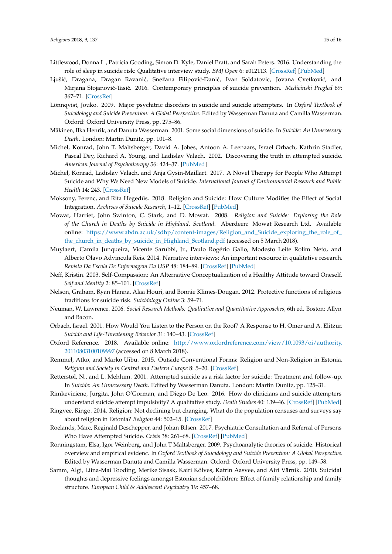- <span id="page-14-2"></span>Littlewood, Donna L., Patricia Gooding, Simon D. Kyle, Daniel Pratt, and Sarah Peters. 2016. Understanding the role of sleep in suicide risk: Qualitative interview study. *BMJ Open* 6: e012113. [\[CrossRef\]](http://dx.doi.org/10.1136/bmjopen-2016-012113) [\[PubMed\]](http://www.ncbi.nlm.nih.gov/pubmed/27550652)
- <span id="page-14-7"></span>Ljušić, Dragana, Dragan Ravanić, Snežana Filipović-Danić, Ivan Soldatovic, Jovana Cvetković, and Mirjana Stojanovi´c-Tasi´c. 2016. Contemporary principles of suicide prevention. *Medicinski Pregled* 69: 367–71. [\[CrossRef\]](http://dx.doi.org/10.2298/MPNS1612367L)
- <span id="page-14-8"></span>Lönnqvist, Jouko. 2009. Major psychitric disorders in suicide and suicide attempters. In *Oxford Textbook of Suicidology and Suicide Prevention: A Global Perspective*. Edited by Wasserman Danuta and Camilla Wasserman. Oxford: Oxford University Press, pp. 275–86.
- <span id="page-14-10"></span>Mäkinen, Ilka Henrik, and Danuta Wasserman. 2001. Some social dimensions of suicide. In *Suicide: An Unnecessary Death*. London: Martin Dunitz, pp. 101–8.
- <span id="page-14-3"></span>Michel, Konrad, John T. Maltsberger, David A. Jobes, Antoon A. Leenaars, Israel Orbach, Kathrin Stadler, Pascal Dey, Richard A. Young, and Ladislav Valach. 2002. Discovering the truth in attempted suicide. *American Journal of Psychotherapy* 56: 424–37. [\[PubMed\]](http://www.ncbi.nlm.nih.gov/pubmed/12400207)
- <span id="page-14-4"></span>Michel, Konrad, Ladislav Valach, and Anja Gysin-Maillart. 2017. A Novel Therapy for People Who Attempt Suicide and Why We Need New Models of Suicide. *International Journal of Environmental Research and Public Health* 14: 243. [\[CrossRef\]](http://dx.doi.org/10.3390/ijerph14030243)
- <span id="page-14-13"></span>Moksony, Ferenc, and Rita Hegedűs. 2018. Religion and Suicide: How Culture Modifies the Effect of Social Integration. *Archives of Suicide Research*, 1–12. [\[CrossRef\]](http://dx.doi.org/10.1080/13811118.2017.1406830) [\[PubMed\]](http://www.ncbi.nlm.nih.gov/pubmed/29293070)
- <span id="page-14-12"></span>Mowat, Harriet, John Swinton, C. Stark, and D. Mowat. 2008. *Religion and Suicide: Exploring the Role of the Church in Deaths by Suicide in Highland, Scotland*. Aberdeen: Mowat Research Ltd. Available online: [https://www.abdn.ac.uk/sdhp/content-images/Religion\\_and\\_Suicide\\_exploring\\_the\\_role\\_of\\_](https://www.abdn.ac.uk/sdhp/content-images/Religion_and_Suicide_exploring_the_role_of_the_church_in_deaths_by_suicide_in_Highland_Scotland.pdf) [the\\_church\\_in\\_deaths\\_by\\_suicide\\_in\\_Highland\\_Scotland.pdf](https://www.abdn.ac.uk/sdhp/content-images/Religion_and_Suicide_exploring_the_role_of_the_church_in_deaths_by_suicide_in_Highland_Scotland.pdf) (accessed on 5 March 2018).
- <span id="page-14-5"></span>Muylaert, Camila Junqueira, Vicente Sarubbi, Jr., Paulo Rogério Gallo, Modesto Leite Rolim Neto, and Alberto Olavo Advincula Reis. 2014. Narrative interviews: An important resource in qualitative research. *Revista Da Escola De Enfermagem Da USP* 48: 184–89. [\[CrossRef\]](http://dx.doi.org/10.1590/S0080-623420140000800027) [\[PubMed\]](http://www.ncbi.nlm.nih.gov/pubmed/25830754)
- <span id="page-14-18"></span>Neff, Kristin. 2003. Self-Compassion: An Alternative Conceptualization of a Healthy Attitude toward Oneself. *Self and Identity* 2: 85–101. [\[CrossRef\]](http://dx.doi.org/10.1080/15298860309032)
- <span id="page-14-11"></span>Nelson, Graham, Ryan Hanna, Alaa Houri, and Bonnie Klimes-Dougan. 2012. Protective functions of religious traditions for suicide risk. *Suicidology Online* 3: 59–71.
- <span id="page-14-16"></span>Neuman, W. Lawrence. 2006. *Social Research Methods: Qualitative and Quantitative Approaches*, 6th ed. Boston: Allyn and Bacon.
- <span id="page-14-1"></span>Orbach, Israel. 2001. How Would You Listen to the Person on the Roof? A Response to H. Omer and A. Elitzur. *Suicide and Life-Threatening Behavior* 31: 140–43. [\[CrossRef\]](http://dx.doi.org/10.1521/suli.31.2.140.21518)
- <span id="page-14-6"></span>Oxford Reference. 2018. Available online: [http://www.oxfordreference.com/view/10.1093/oi/authority.](http://www.oxfordreference.com/view/10.1093/oi/authority.20110803100109997) [20110803100109997](http://www.oxfordreference.com/view/10.1093/oi/authority.20110803100109997) (accessed on 8 March 2018).
- <span id="page-14-14"></span>Remmel, Atko, and Marko Uibu. 2015. Outside Conventional Forms: Religion and Non-Religion in Estonia. *Religion and Society in Central and Eastern Europe* 8: 5–20. [\[CrossRef\]](http://dx.doi.org/10.20413/rascee.2015.8.1.5-20)
- <span id="page-14-19"></span>Retterstøl, N., and L. Mehlum. 2001. Attempted suicide as a risk factor for suicide: Treatment and follow-up. In *Suicide: An Unnecessary Death*. Edited by Wasserman Danuta. London: Martin Dunitz, pp. 125–31.
- <span id="page-14-0"></span>Rimkeviciene, Jurgita, John O'Gorman, and Diego De Leo. 2016. How do clinicians and suicide attempters understand suicide attempt impulsivity? A qualitative study. *Death Studies* 40: 139–46. [\[CrossRef\]](http://dx.doi.org/10.1080/07481187.2015.1096314) [\[PubMed\]](http://www.ncbi.nlm.nih.gov/pubmed/26399157)
- <span id="page-14-15"></span>Ringvee, Ringo. 2014. Religion: Not declining but changing. What do the population censuses and surveys say about religion in Estonia? *Religion* 44: 502–15. [\[CrossRef\]](http://dx.doi.org/10.1080/0048721X.2014.914635)
- <span id="page-14-20"></span>Roelands, Marc, Reginald Deschepper, and Johan Bilsen. 2017. Psychiatric Consultation and Referral of Persons Who Have Attempted Suicide. *Crisis* 38: 261–68. [\[CrossRef\]](http://dx.doi.org/10.1027/0227-5910/a000445) [\[PubMed\]](http://www.ncbi.nlm.nih.gov/pubmed/28228063)
- <span id="page-14-17"></span>Ronningstam, Elsa, Igor Weinberg, and John T Maltsberger. 2009. Psychoanalytic theories of suicide. Historical overview and empirical evidenc. In *Oxford Textbook of Suicidology and Suicide Prevention: A Global Perspective*. Edited by Wasserman Danuta and Camilla Wasserman. Oxford: Oxford University Press, pp. 149–58.
- <span id="page-14-9"></span>Samm, Algi, Liina-Mai Tooding, Merike Sisask, Kairi Kõlves, Katrin Aasvee, and Airi Värnik. 2010. Suicidal thoughts and depressive feelings amongst Estonian schoolchildren: Effect of family relationship and family structure. *European Child & Adolescent Psychiatry* 19: 457–68.